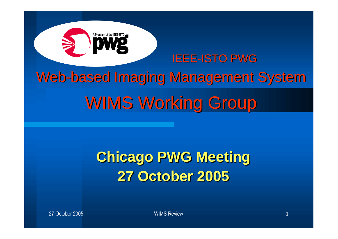

### **Chicago PWG Meeting 27 October 2005**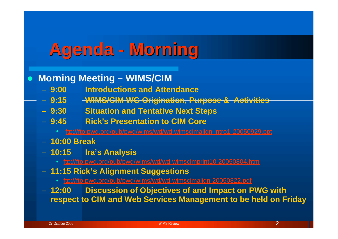# **Agenda - Morning**

**Morning Meeting – WIMS/CIM**

- **9:00 Introductions and Attendance**
- **9:15 WIMS/CIM WG Origination, Purpose & Activities**
- **9:30 Situation and Tentative Next Steps**
- **9:45 Rick's Presentation to CIM Core**
	- ftp://ftp.pwg.org/pub/pwg/wims/wd/wd-wimscimalign-intro1-20050929.ppt
- **10:00 Break**
- **10:15 Ira's Analysis**
	- ftp://ftp.pwg.org/pub/pwg/wims/wd/wd-wimscimprint10-20050804.htm
- **11:15 Rick's Alignment Suggestions**
	- ftp://ftp.pwg.org/pub/pwg/wims/wd/wd-wimscimalign-20050822.pdf
- **12:00 Discussion of Objectives of and Impact on PWG with respect to CIM and Web Services Management to be held on Friday**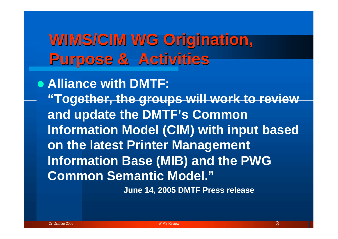## **WIMS/CIM WG Origination, Purpose & Activities**

**Alliance with DMTF: "Together, the groups will work to review and update the DMTF's Common Information Model (CIM) with input based on the latest Printer Management Information Base (MIB) and the PWG Common Semantic Model."**

**June 14, 2005 DMTF Press release**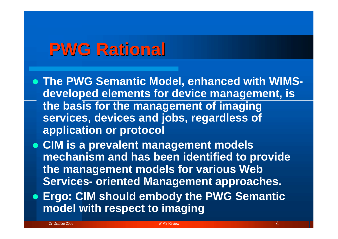### **PWG Rational**

- **The PWG Semantic Model, enhanced with WIMSdeveloped elements for device management, is the basis for the management of imaging services, devices and jobs, regardless of application or protocol**
- **CIM is a prevalent management models mechanism and has been identified to provide the management models for various Web Services- oriented Management approaches.**
- **Ergo: CIM should embody the PWG Semantic model with respect to imaging**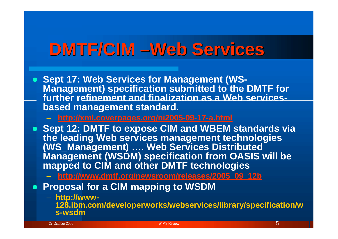# **DMTF/CIM –Web Services**

- **Sept 17: Web Services for Management (WS-Management) specification submitted to the DMTF for further refinement and finalization as a Web servicesbased management standard.**
	- **http://xml.coverpages.org/ni2005-09-17-a.html**
- **Sept 12: DMTF to expose CIM and WBEM standards via the leading Web services management technologies (WS\_Management) …. Web Services Distributed Management (WSDM) specification from OASIS will be mapped to CIM and other DMTF technologies**
	- **http://www.dmtf.org/newsroom/releases/2005\_09\_12b**
- **Proposal for a CIM mapping to WSDM** 
	- **http://www-**

**128.ibm.com/developerworks/webservices/library/specification/w s-wsdm**

27 October 2005 WIMS Review 5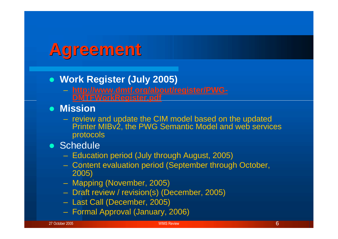### **Agreement**

- **Work Register (July 2005)**
	- **http://www.dmtf.org/about/register/PWG-DMTFWorkRegister.pdf**
- **Mission**
	- review and update the CIM model based on the updated Printer MIBv2, the PWG Semantic Model and web services protocols
- Schedule
	- Education period (July through August, 2005)
	- Content evaluation period (September through October, 2005)
	- Mapping (November, 2005)
	- Draft review / revision(s) (December, 2005)
	- Last Call (December, 2005)
	- Formal Approval (January, 2006)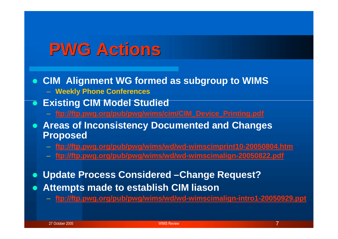### **PWG Actions**

- **CIM Alignment WG formed as subgroup to WIMS**
	- **Weekly Phone Conferences**
- **Existing CIM Model Studied**
	- **ftp://ftp.pwg.org/pub/pwg/wims/cim/CIM\_Device\_Printing.pdf**
- **Areas of Inconsistency Documented and Changes Proposed**
	- **ftp://ftp.pwg.org/pub/pwg/wims/wd/wd-wimscimprint10-20050804.htm**
	- **ftp://ftp.pwg.org/pub/pwg/wims/wd/wd-wimscimalign-20050822.pdf**
- **Update Process Considered –Change Request?**
- **Attempts made to establish CIM liason**
	- **ftp://ftp.pwg.org/pub/pwg/wims/wd/wd-wimscimalign-intro1-20050929.ppt**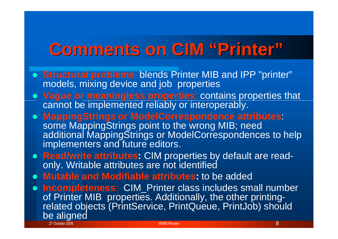# **Comments on CIM "Printer"**

- **Structural problems**: blends Printer MIB and IPP "printer" models, mixing device and job properties
- **Vague or meaningless properties**: contains properties that cannot be implemented reliably or interoperably.
- **MappingStrings or ModelCorrespondence attributes**: some MappingStrings point to the wrong MIB; need additional MappingStrings or ModelCorrespondences to help implementers and future editors.
- **Read/write attributes:** CIM properties by default are readonly. Writable attributes are not identified
- **Mutable and Modifiable attributes:** to be added
- 27 October 2005 No. 1996 No. 1997 No. 1998 No. 1998 No. 1999 No. 1999 No. 1999 No. 1999 No. 1999 No. 1999 No. 199 **Incompleteness**: CIM\_Printer class includes small number of Printer MIB properties. Additionally, the other printingrelated objects (PrintService, PrintQueue, PrintJob) should be aligned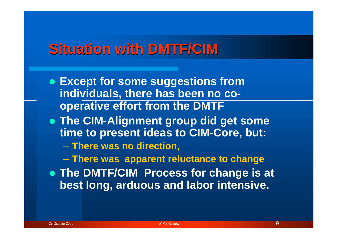#### **Situation with DMTF/CIM**

- **Except for some suggestions from individuals, there has been no cooperative effort from the DMTF**
- **The CIM-Alignment group did get some time to present ideas to CIM-Core, but:**

– **There was no direction,**

– **There was apparent reluctance to change**

 **The DMTF/CIM Process for change is at best long, arduous and labor intensive.**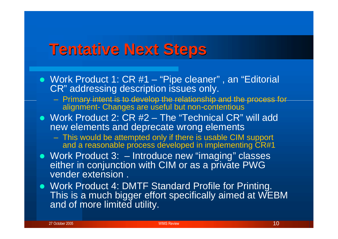### **Tentative Next Steps**

- Work Product 1: CR #1 "Pipe cleaner", an "Editorial CR" addressing description issues only.
	- Primary intent is to develop the relationship and the process for alignment- Changes are useful but non-contentious
- Work Product 2: CR #2 The "Technical CR" will add new elements and deprecate wrong elements
	- This would be attempted only if there is usable CIM support and a reasonable process developed in implementing CR#1
- Work Product 3: Introduce new "imaging" classes either in conjunction with CIM or as a private PWG vender extension .
- Work Product 4: DMTF Standard Profile for Printing. This is a much bigger effort specifically aimed at WEBM and of more limited utility.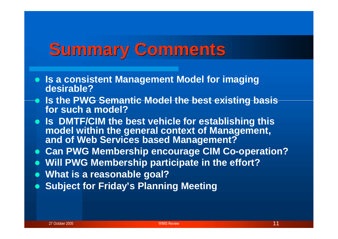### **Summary Comments**

- **Is a consistent Management Model for imaging desirable?**
- **Is the PWG Semantic Model the best existing basis for such a model?**
- **Is DMTF/CIM the best vehicle for establishing this model within the general context of Management, and of Web Services based Management?**
- **Can PWG Membership encourage CIM Co-operation?**
- **Will PWG Membership participate in the effort?**
- **What is a reasonable goal?**
- **Subject for Friday's Planning Meeting**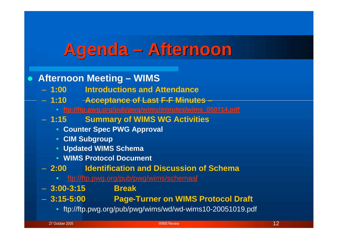### **Agenda – Afternoon**

**Afternoon Meeting – WIMS**

- **1:00 Introductions and Attendance**
- **1:10 Acceptance of Last F-F Minutes –**
	- **ftp://ftp.pwg.org/pub/pwg/wims/minutes/wims\_050714.pdf**
- **1:15 Summary of WIMS WG Activities**
	- **Counter Spec PWG Approval**
	- **CIM Subgroup**
	- **Updated WIMS Schema**
	- **WIMS Protocol Document**
- **2:00 Identification and Discussion of Schema**
	- ftp://ftp.pwg.org/pub/pwg/wims/schemas**/**
- **3:00-3:15 Break**
- 
- **3:15-5:00 Page-Turner on WIMS Protocol Draft**
	- ftp://ftp.pwg.org/pub/pwg/wims/wd/wd-wims10-20051019.pdf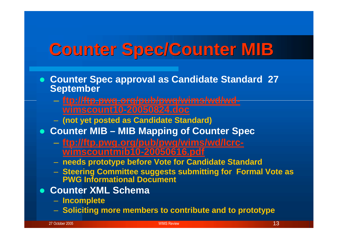# **Counter Spec/Counter MIB**

- **Counter Spec approval as Candidate Standard 27 September**
	- **ftp://ftp.pwg.org/pub/pwg/wims/wd/wdwimscount10-20050824.doc**
	- **(not yet posted as Candidate Standard)**
- **Counter MIB – MIB Mapping of Counter Spec**
	- **ftp://ftp.pwg.org/pub/pwg/wims/wd/lcrcwimscountmib10-20050616.pdf**
	- **needs prototype before Vote for Candidate Standard**
	- **Steering Committee suggests submitting for Formal Vote as PWG Informational Document**
- **Counter XML Schema**
	- **Incomplete**
	- **Soliciting more members to contribute and to prototype**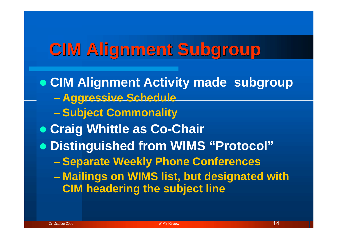# **CIM Alignment Subgroup**

**CIM Alignment Activity made subgroup** – **Aggressive Schedule** – **Subject Commonality Craig Whittle as Co-Chair Distinguished from WIMS "Protocol"** – **Separate Weekly Phone Conferences** – **Mailings on WIMS list, but designated with CIM headering the subject line**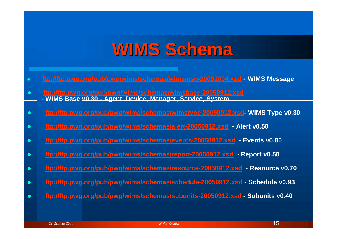### **WIMS Schema**

- **ftp://ftp.pwg.org/pub/pwg/wims/schemas/wimsmsg-20051004.xsd - WIMS Message**
- **ftp://ftp.pwg.org/pub/pwg/wims/schemas/wimsbase-20050912.xsd - WIMS Base v0.30 - Agent, Device, Manager, Service, System**
- **ftp://ftp.pwg.org/pub/pwg/wims/schemas/wimstype-20050912.xsd- WIMS Type v0.30**
- **ftp://ftp.pwg.org/pub/pwg/wims/schemas/alert-20050912.xsd - Alert v0.50**
- **ftp://ftp.pwg.org/pub/pwg/wims/schemas/events-20050912.xsd - Events v0.80**
- **ftp://ftp.pwg.org/pub/pwg/wims/schemas/report-20050912.xsd - Report v0.50**
- **ftp://ftp.pwg.org/pub/pwg/wims/schemas/resource-20050912.xsd - Resource v0.70**
- **ftp://ftp.pwg.org/pub/pwg/wims/schemas/schedule-20050912.xsd - Schedule v0.93**
- **ftp://ftp.pwg.org/pub/pwg/wims/schemas/subunits-20050912.xsd - Subunits v0.40**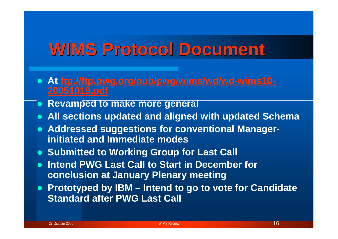### **WIMS Protocol Document**

- **At ftp://ftp.pwg.org/pub/pwg/wims/wd/wd-wims10- 20051019.pdf**
- **e** Revamped to make more general
- **All sections updated and aligned with updated Schema**
- **Addressed suggestions for conventional Managerinitiated and Immediate modes**
- **Submitted to Working Group for Last Call**
- **Intend PWG Last Call to Start in December for conclusion at January Plenary meeting**
- **Prototyped by IBM – Intend to go to vote for Candidate Standard after PWG Last Call**